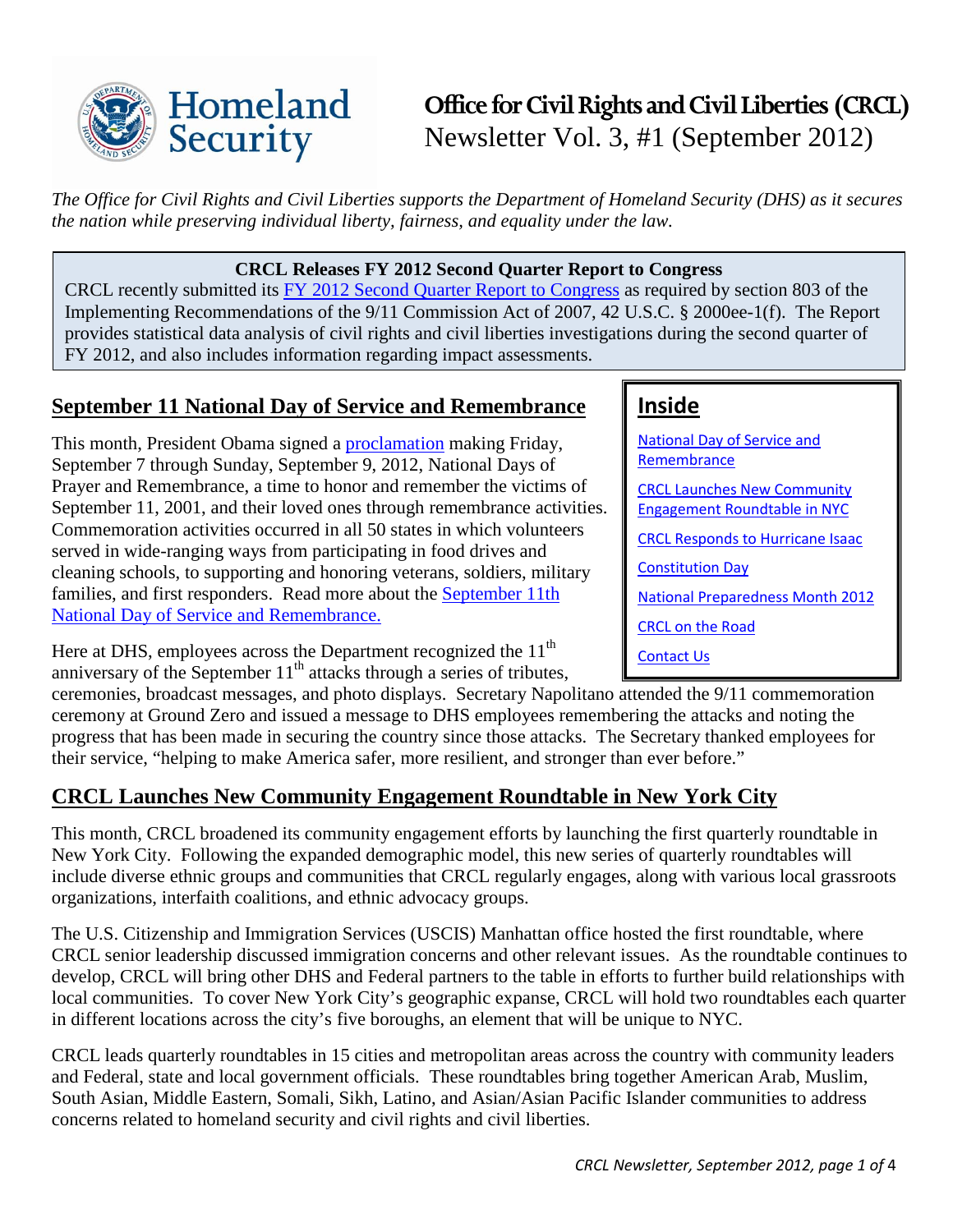

# **Office for Civil Rights and Civil Liberties (CRCL)** Newsletter Vol. 3, #1 (September 2012)

*The Office for Civil Rights and Civil Liberties supports the Department of Homeland Security (DHS) as it secures the nation while preserving individual liberty, fairness, and equality under the law.* 

#### **CRCL Releases FY 2012 Second Quarter Report to Congress**

CRCL recently submitted its [FY 2012 Second Quarter Report to Congress](http://www.dhs.gov/sites/default/files/publications/crcl-quarterly-report-fy-2012-q2.pdf) as required by section 803 of the Implementing Recommendations of the 9/11 Commission Act of 2007, 42 U.S.C. § 2000ee-1(f). The Report provides statistical data analysis of civil rights and civil liberties investigations during the second quarter of FY 2012, and also includes information regarding impact assessments.

### <span id="page-0-0"></span>**September 11 National Day of Service and Remembrance**

This month, President Obama signed a [proclamation](http://www.whitehouse.gov/the-press-office/2012/09/07/presidential-proclamation-national-days-prayer-and-remembrance-2012) making Friday, September 7 through Sunday, September 9, 2012, National Days of Prayer and Remembrance, a time to honor and remember the victims of September 11, 2001, and their loved ones through remembrance activities. Commemoration activities occurred in all 50 states in which volunteers served in wide-ranging ways from participating in food drives and cleaning schools, to supporting and honoring veterans, soldiers, military families, and first responders. Read more about the [September 11th](http://www.serve.gov/sept11.asp)  [National Day of Service and Remembrance.](http://www.serve.gov/sept11.asp) 

Here at DHS, employees across the Department recognized the  $11<sup>th</sup>$ anniversary of the September  $11<sup>th</sup>$  attacks through a series of tributes,

### ceremonies, broadcast messages, and photo displays. Secretary Napolitano attended the 9/11 commemoration ceremony at Ground Zero and issued a message to DHS employees remembering the attacks and noting the progress that has been made in securing the country since those attacks. The Secretary thanked employees for their service, "helping to make America safer, more resilient, and stronger than ever before."

### <span id="page-0-1"></span>**CRCL Launches New Community Engagement Roundtable in New York City**

This month, CRCL broadened its community engagement efforts by launching the first quarterly roundtable in New York City. Following the expanded demographic model, this new series of quarterly roundtables will include diverse ethnic groups and communities that CRCL regularly engages, along with various local grassroots organizations, interfaith coalitions, and ethnic advocacy groups.

The U.S. Citizenship and Immigration Services (USCIS) Manhattan office hosted the first roundtable, where CRCL senior leadership discussed immigration concerns and other relevant issues. As the roundtable continues to develop, CRCL will bring other DHS and Federal partners to the table in efforts to further build relationships with local communities. To cover New York City's geographic expanse, CRCL will hold two roundtables each quarter in different locations across the city's five boroughs, an element that will be unique to NYC.

CRCL leads quarterly roundtables in 15 cities and metropolitan areas across the country with community leaders and Federal, state and local government officials. These roundtables bring together American Arab, Muslim, South Asian, Middle Eastern, Somali, Sikh, Latino, and Asian/Asian Pacific Islander communities to address concerns related to homeland security and civil rights and civil liberties.

### **Inside**

[National Day of Service and](#page-0-0)  **[Remembrance](#page-0-0)** [CRCL Launches New Community](#page-0-1)  [Engagement Roundtable in NYC](#page-0-1) [CRCL Responds to Hurricane Isaac](#page-1-0) [Constitution Day](#page-1-1) [National Preparedness Month 2012](#page-2-0) [CRCL on the Road](#page-2-1) [Contact Us](#page-2-2)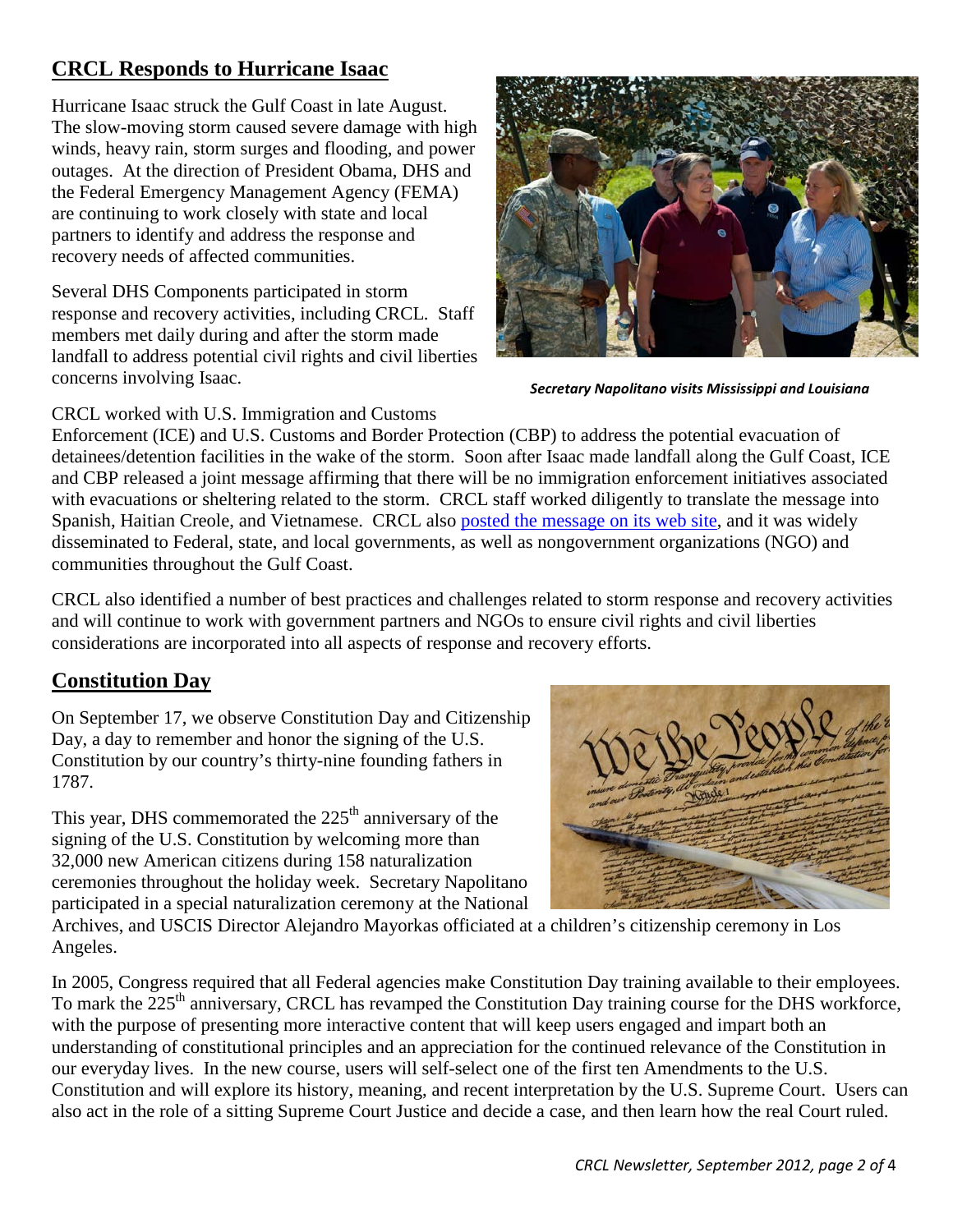### <span id="page-1-0"></span>**CRCL Responds to Hurricane Isaac**

Hurricane Isaac struck the Gulf Coast in late August. The slow-moving storm caused severe damage with high winds, heavy rain, storm surges and flooding, and power outages. At the direction of President Obama, DHS and the Federal Emergency Management Agency (FEMA) are continuing to work closely with state and local partners to identify and address the response and recovery needs of affected communities.

Several DHS Components participated in storm response and recovery activities, including CRCL. Staff members met daily during and after the storm made landfall to address potential civil rights and civil liberties concerns involving Isaac.



*Secretary Napolitano visits Mississippi and Louisiana*

#### CRCL worked with U.S. Immigration and Customs

Enforcement (ICE) and U.S. Customs and Border Protection (CBP) to address the potential evacuation of detainees/detention facilities in the wake of the storm. Soon after Isaac made landfall along the Gulf Coast, ICE and CBP released a joint message affirming that there will be no immigration enforcement initiatives associated with evacuations or sheltering related to the storm. CRCL staff worked diligently to translate the message into Spanish, Haitian Creole, and Vietnamese. CRCL also [posted the message on its web site,](http://www.dhs.gov/publication/ice-cbp-joint-message-regarding-hurricane-isaac) and it was widely disseminated to Federal, state, and local governments, as well as nongovernment organizations (NGO) and communities throughout the Gulf Coast.

CRCL also identified a number of best practices and challenges related to storm response and recovery activities and will continue to work with government partners and NGOs to ensure civil rights and civil liberties considerations are incorporated into all aspects of response and recovery efforts.

### <span id="page-1-1"></span>**Constitution Day**

On September 17, we observe Constitution Day and Citizenship Day, a day to remember and honor the signing of the U.S. Constitution by our country's thirty-nine founding fathers in 1787.

This year, DHS commemorated the  $225<sup>th</sup>$  anniversary of the signing of the U.S. Constitution by welcoming more than 32,000 new American citizens during 158 naturalization ceremonies throughout the holiday week. Secretary Napolitano participated in a special naturalization ceremony at the National



Archives, and USCIS Director Alejandro Mayorkas officiated at a children's citizenship ceremony in Los Angeles.

In 2005, Congress required that all Federal agencies make Constitution Day training available to their employees. To mark the 225<sup>th</sup> anniversary, CRCL has revamped the Constitution Day training course for the DHS workforce, with the purpose of presenting more interactive content that will keep users engaged and impart both an understanding of constitutional principles and an appreciation for the continued relevance of the Constitution in our everyday lives. In the new course, users will self-select one of the first ten Amendments to the U.S. Constitution and will explore its history, meaning, and recent interpretation by the U.S. Supreme Court. Users can also act in the role of a sitting Supreme Court Justice and decide a case, and then learn how the real Court ruled.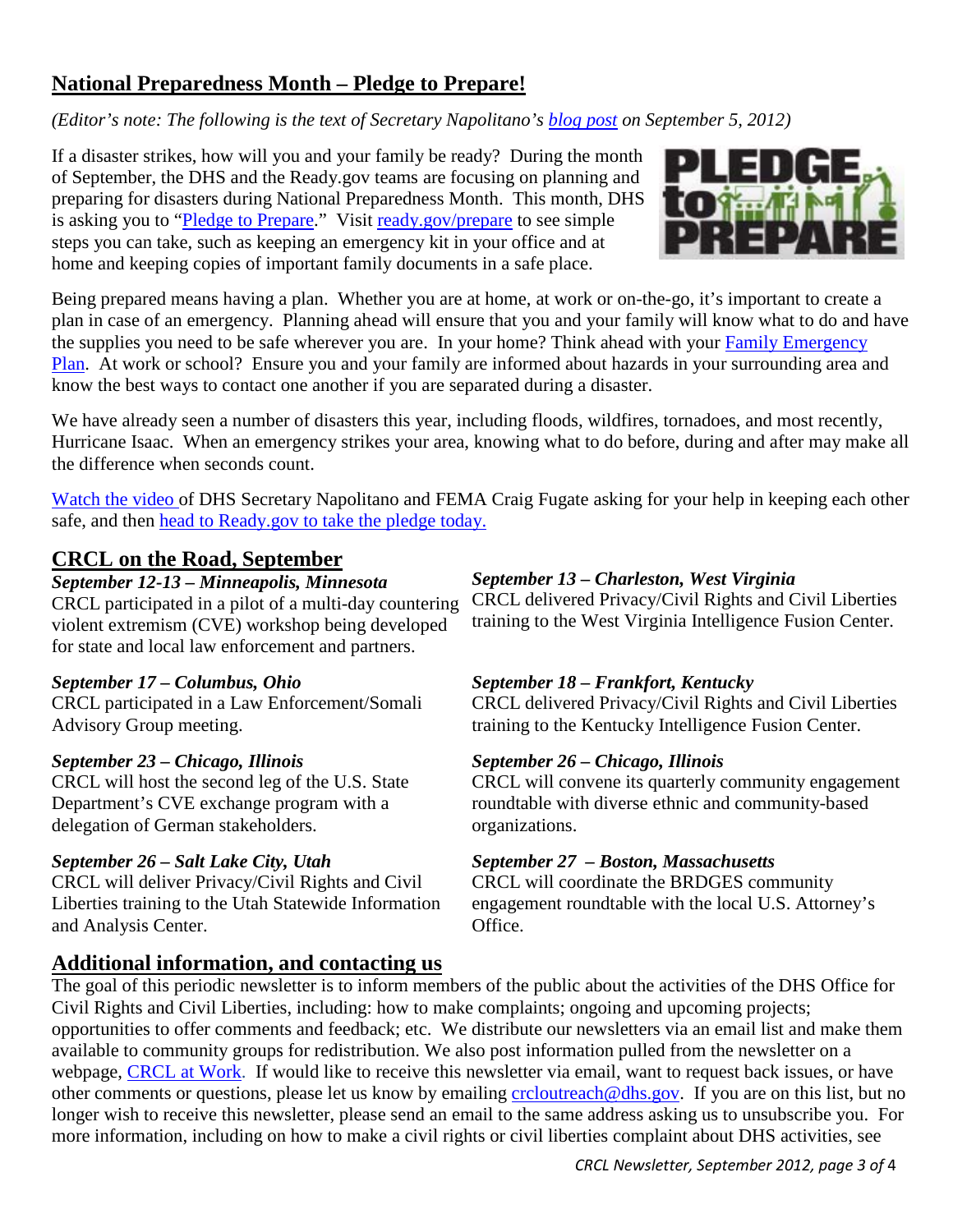## <span id="page-2-0"></span>**National Preparedness Month – Pledge to Prepare!**

*(Editor's note: The following is the text of Secretary Napolitano's [blog post](http://www.dhs.gov/blog/2012/09/05/national-preparedness-month-pledge-prepare) on September 5, 2012)* 

If a disaster strikes, how will you and your family be ready? During the month of September, the DHS and the Ready.gov teams are focusing on planning and preparing for disasters during National Preparedness Month. This month, DHS is asking you to ["Pledge to Prepare.](http://community.fema.gov/connect.ti/READYNPM)" Visit [ready.gov/prepare](http://www.ready.gov/) to see simple steps you can take, such as keeping an emergency kit in your office and at home and keeping copies of important family documents in a safe place.



Being prepared means having a plan. Whether you are at home, at work or on-the-go, it's important to create a plan in case of an emergency. Planning ahead will ensure that you and your family will know what to do and have the supplies you need to be safe wherever you are. In your home? Think ahead with your [Family Emergency](http://www.ready.gov/sites/default/files/documents/files/Family_Emegency_Plan.pdf)  [Plan.](http://www.ready.gov/sites/default/files/documents/files/Family_Emegency_Plan.pdf) At work or school? Ensure you and your family are informed about hazards in your surrounding area and know the best ways to contact one another if you are separated during a disaster.

We have already seen a number of disasters this year, including floods, wildfires, tornadoes, and most recently, Hurricane Isaac. When an emergency strikes your area, knowing what to do before, during and after may make all the difference when seconds count.

[Watch the video o](http://www.fema.gov/medialibrary/media_records/9507)f DHS Secretary Napolitano and FEMA Craig Fugate asking for your help in keeping each other safe, and then [head to Ready.gov to take the pledge today.](http://community.fema.gov/connect.ti/READYNPM) 

### <span id="page-2-1"></span>**CRCL on the Road, September**

### *September 12-13 – Minneapolis, Minnesota*

CRCL participated in a pilot of a multi-day countering violent extremism (CVE) workshop being developed for state and local law enforcement and partners.

### *September 17 – Columbus, Ohio*

CRCL participated in a Law Enforcement/Somali Advisory Group meeting.

### *September 23 – Chicago, Illinois*

CRCL will host the second leg of the U.S. State Department's CVE exchange program with a delegation of German stakeholders.

### *September 26 – Salt Lake City, Utah*

CRCL will deliver Privacy/Civil Rights and Civil Liberties training to the Utah Statewide Information and Analysis Center.

#### *September 13 – Charleston, West Virginia*

CRCL delivered Privacy/Civil Rights and Civil Liberties training to the West Virginia Intelligence Fusion Center.

### *September 18 – Frankfort, Kentucky*

CRCL delivered Privacy/Civil Rights and Civil Liberties training to the Kentucky Intelligence Fusion Center.

### *September 26 – Chicago, Illinois*

CRCL will convene its quarterly community engagement roundtable with diverse ethnic and community-based organizations.

### *September 27 – Boston, Massachusetts*

CRCL will coordinate the BRDGES community engagement roundtable with the local U.S. Attorney's Office.

### <span id="page-2-2"></span>**Additional information, and contacting us**

The goal of this periodic newsletter is to inform members of the public about the activities of the DHS Office for Civil Rights and Civil Liberties, including: how to make complaints; ongoing and upcoming projects; opportunities to offer comments and feedback; etc. We distribute our newsletters via an email list and make them available to community groups for redistribution. We also post information pulled from the newsletter on a webpage, [CRCL at Work.](http://www.dhs.gov/files/publications/crcl-at-work.shtm) If would like to receive this newsletter via email, want to request back issues, or have other comments or questions, please let us know by emailing [crcloutreach@dhs.gov.](mailto:crcloutreach@dhs.gov) If you are on this list, but no longer wish to receive this newsletter, please send an email to the same address asking us to unsubscribe you. For more information, including on how to make a civil rights or civil liberties complaint about DHS activities, see